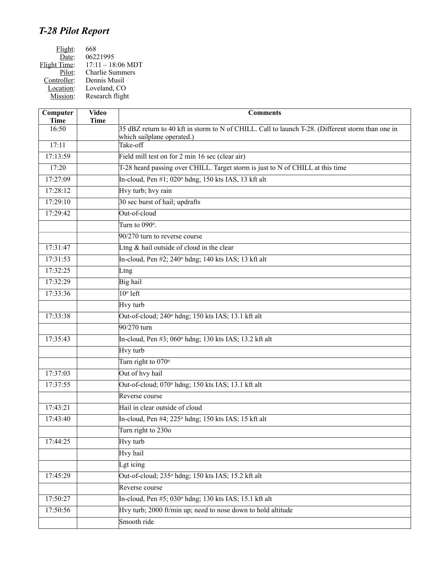# *T-28 Pilot Report*

| Flight:             | 668                         |
|---------------------|-----------------------------|
| Date:               | 06221995                    |
| <b>Flight Time:</b> | $17:11 - 18:06 \text{ MDT}$ |
| Pilot:              | <b>Charlie Summers</b>      |
| Controller:         | Dennis Musil                |
| Location:           | Loveland, CO                |
| Mission:            | Research flight             |
|                     |                             |

| Computer<br><b>Time</b> | <b>Video</b><br><b>Time</b> | <b>Comments</b>                                                                                   |
|-------------------------|-----------------------------|---------------------------------------------------------------------------------------------------|
| 16:50                   |                             | 35 dBZ return to 40 kft in storm to N of CHILL. Call to launch T-28. (Different storm than one in |
| 17:11                   |                             | which sailplane operated.)<br>Take-off                                                            |
| 17:13:59                |                             | Field mill test on for 2 min 16 sec (clear air)                                                   |
| 17:20                   |                             | T-28 heard passing over CHILL. Target storm is just to N of CHILL at this time                    |
| 17:27:09                |                             |                                                                                                   |
| 17:28:12                |                             | In-cloud, Pen #1; 020° hdng, 150 kts IAS, 13 kft alt                                              |
|                         |                             | Hvy turb; hvy rain                                                                                |
| 17:29:10                |                             | 30 sec burst of hail; updrafts<br>Out-of-cloud                                                    |
| 17:29:42                |                             |                                                                                                   |
|                         |                             | Turn to $090^\circ$ .                                                                             |
|                         |                             | 90/270 turn to reverse course                                                                     |
| 17:31:47                |                             | Ltng $&$ hail outside of cloud in the clear                                                       |
| 17:31:53                |                             | In-cloud, Pen #2; 240° hdng; 140 kts IAS; 13 kft alt                                              |
| 17:32:25                |                             | Ltng                                                                                              |
| 17:32:29                |                             | Big hail                                                                                          |
| 17:33:36                |                             | $10^{\circ}$ left                                                                                 |
|                         |                             | Hvy turb                                                                                          |
| 17:33:38                |                             | Out-of-cloud; 240° hdng; 150 kts IAS; 13.1 kft alt                                                |
|                         |                             | 90/270 turn                                                                                       |
| 17:35:43                |                             | In-cloud, Pen #3; 060° hdng; 130 kts IAS; 13.2 kft alt                                            |
|                         |                             | Hvy turb                                                                                          |
|                         |                             | Turn right to 070°                                                                                |
| 17:37:03                |                             | Out of hvy hail                                                                                   |
| 17:37:55                |                             | Out-of-cloud; 070° hdng; 150 kts IAS; 13.1 kft alt                                                |
|                         |                             | Reverse course                                                                                    |
| 17:43:21                |                             | Hail in clear outside of cloud                                                                    |
| 17:43:40                |                             | In-cloud, Pen #4; 225° hdng; 150 kts IAS; 15 kft alt                                              |
|                         |                             | Turn right to 230o                                                                                |
| 17:44:25                |                             | Hvy turb                                                                                          |
|                         |                             | Hvy hail                                                                                          |
|                         |                             | Lgt icing                                                                                         |
| 17:45:29                |                             | Out-of-cloud; 235° hdng; 150 kts IAS; 15.2 kft alt                                                |
|                         |                             | Reverse course                                                                                    |
| 17:50:27                |                             | In-cloud, Pen #5; 030° hdng; 130 kts IAS; 15.1 kft alt                                            |
| 17:50:56                |                             | Hvy turb; 2000 ft/min up; need to nose down to hold altitude                                      |
|                         |                             | Smooth ride                                                                                       |